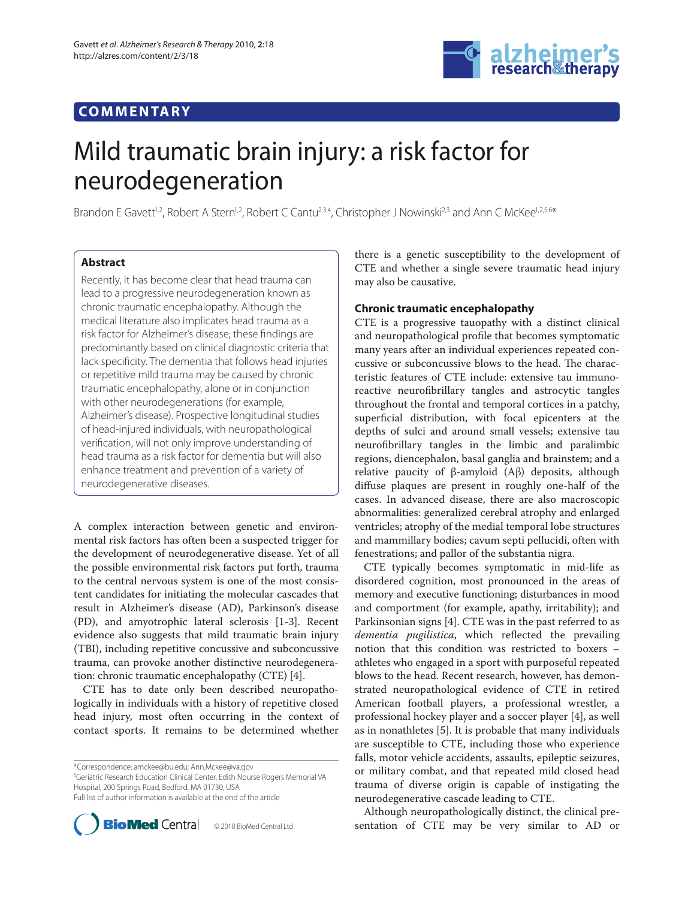## **COMMENTARY**



# Mild traumatic brain injury: a risk factor for neurodegeneration

Brandon E Gavett<sup>1,2</sup>, Robert A Stern<sup>1,2</sup>, Robert C Cantu<sup>2,3,4</sup>, Christopher J Nowinski<sup>2,3</sup> and Ann C McKee<sup>1,2,5,6\*</sup>

## **Abstract**

Recently, it has become clear that head trauma can lead to a progressive neurodegeneration known as chronic traumatic encephalopathy. Although the medical literature also implicates head trauma as a risk factor for Alzheimer's disease, these findings are predominantly based on clinical diagnostic criteria that lack specificity. The dementia that follows head injuries or repetitive mild trauma may be caused by chronic traumatic encephalopathy, alone or in conjunction with other neurodegenerations (for example, Alzheimer's disease). Prospective longitudinal studies of head-injured individuals, with neuropathological verification, will not only improve understanding of head trauma as a risk factor for dementia but will also enhance treatment and prevention of a variety of neurodegenerative diseases.

A complex interaction between genetic and environmental risk factors has often been a suspected trigger for the development of neurodegenerative disease. Yet of all the possible environmental risk factors put forth, trauma to the central nervous system is one of the most consistent candidates for initiating the molecular cascades that result in Alzheimer's disease (AD), Parkinson's disease (PD), and amyotrophic lateral sclerosis [1-3]. Recent evidence also suggests that mild traumatic brain injury (TBI), including repetitive concussive and subconcussive trauma, can provoke another distinctive neurodegeneration: chronic traumatic encephalopathy (CTE) [4].

CTE has to date only been described neuropathologically in individuals with a history of repetitive closed head injury, most often occurring in the context of contact sports. It remains to be determined whether

5 Geriatric Research Education Clinical Center, Edith Nourse Rogers Memorial VA Hospital, 200 Springs Road, Bedford, MA 01730, USA Full list of author information is available at the end of the article



© 2010 BioMed Central Ltd

there is a genetic susceptibility to the development of CTE and whether a single severe traumatic head injury may also be causative.

## **Chronic traumatic encephalopathy**

CTE is a progressive tauopathy with a distinct clinical and neuropathological profile that becomes symptomatic many years after an individual experiences repeated concussive or subconcussive blows to the head. The characteristic features of CTE include: extensive tau immunoreactive neurofibrillary tangles and astrocytic tangles throughout the frontal and temporal cortices in a patchy, superficial distribution, with focal epicenters at the depths of sulci and around small vessels; extensive tau neurofibrillary tangles in the limbic and paralimbic regions, diencephalon, basal ganglia and brainstem; and a relative paucity of β-amyloid (Aβ) deposits, although diffuse plaques are present in roughly one-half of the cases. In advanced disease, there are also macroscopic abnor malities: generalized cerebral atrophy and enlarged ventricles; atrophy of the medial temporal lobe structures and mammillary bodies; cavum septi pellucidi, often with fenestrations; and pallor of the substantia nigra.

CTE typically becomes symptomatic in mid-life as disordered cognition, most pronounced in the areas of memory and executive functioning; disturbances in mood and comportment (for example, apathy, irritability); and Parkinsonian signs [4]. CTE was in the past referred to as *dementia pugilistica*, which reflected the prevailing notion that this condition was restricted to boxers – athletes who engaged in a sport with purposeful repeated blows to the head. Recent research, however, has demonstrated neuropathological evidence of CTE in retired American football players, a professional wrestler, a professional hockey player and a soccer player [4], as well as in nonathletes [5]. It is probable that many individuals are susceptible to CTE, including those who experience falls, motor vehicle accidents, assaults, epileptic seizures, or military combat, and that repeated mild closed head trauma of diverse origin is capable of instigating the neurodegenerative cascade leading to CTE.

Although neuropathologically distinct, the clinical presen tation of CTE may be very similar to AD or

<sup>\*</sup>Correspondence: amckee@bu.edu; Ann.Mckee@va.gov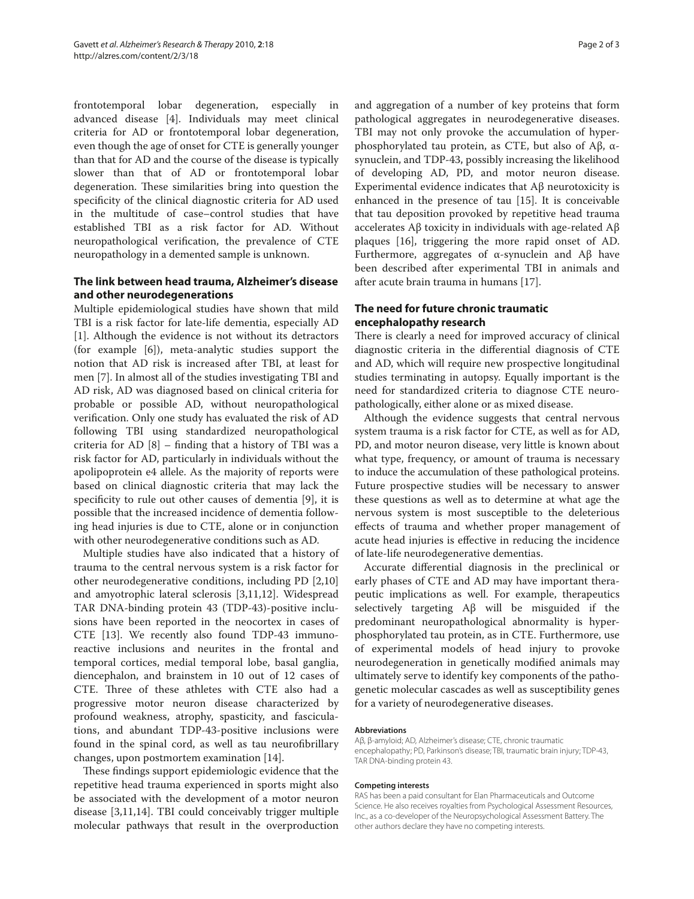fronto temporal lobar degeneration, especially in advanced disease [4]. Individuals may meet clinical criteria for AD or frontotemporal lobar degeneration, even though the age of onset for CTE is generally younger than that for AD and the course of the disease is typically slower than that of AD or frontotemporal lobar degeneration. These similarities bring into question the specificity of the clinical diagnostic criteria for AD used in the multitude of case–control studies that have established TBI as a risk factor for AD. Without neuropathological verification, the prevalence of CTE neuropathology in a demented sample is unknown.

### **The link between head trauma, Alzheimer's disease and other neurodegenerations**

Multiple epidemiological studies have shown that mild TBI is a risk factor for late-life dementia, especially AD [1]. Although the evidence is not without its detractors (for example [6]), meta-analytic studies support the notion that AD risk is increased after TBI, at least for men [7]. In almost all of the studies investigating TBI and AD risk, AD was diagnosed based on clinical criteria for probable or possible AD, without neuropathological verification. Only one study has evaluated the risk of AD following TBI using standardized neuropathological criteria for AD  $[8]$  – finding that a history of TBI was a risk factor for AD, particularly in individuals without the apolipoprotein e4 allele. As the majority of reports were based on clinical diagnostic criteria that may lack the specificity to rule out other causes of dementia [9], it is possible that the increased incidence of dementia following head injuries is due to CTE, alone or in conjunction with other neurodegenerative conditions such as AD.

Multiple studies have also indicated that a history of trauma to the central nervous system is a risk factor for other neurodegenerative conditions, including PD [2,10] and amyotrophic lateral sclerosis [3,11,12]. Widespread TAR DNA-binding protein 43 (TDP-43)-positive inclusions have been reported in the neocortex in cases of CTE [13]. We recently also found TDP-43 immunoreactive inclusions and neurites in the frontal and temporal cortices, medial temporal lobe, basal ganglia, diencephalon, and brainstem in 10 out of 12 cases of CTE. Three of these athletes with CTE also had a progressive motor neuron disease characterized by profound weakness, atrophy, spasticity, and fasciculations, and abundant TDP-43-positive inclusions were found in the spinal cord, as well as tau neurofibrillary changes, upon postmortem examination [14].

These findings support epidemiologic evidence that the repetitive head trauma experienced in sports might also be associated with the development of a motor neuron disease [3,11,14]. TBI could conceivably trigger multiple molecular pathways that result in the overproduction and aggregation of a number of key proteins that form pathological aggregates in neurodegenerative diseases. TBI may not only provoke the accumulation of hyperphosphorylated tau protein, as CTE, but also of Aβ, αsynuclein, and TDP-43, possibly increasing the likelihood of developing AD, PD, and motor neuron disease. Experimental evidence indicates that Aβ neurotoxicity is enhanced in the presence of tau [15]. It is conceivable that tau deposition provoked by repetitive head trauma accelerates Aβ toxicity in individuals with age-related Aβ plaques [16], triggering the more rapid onset of AD. Furthermore, aggregates of  $\alpha$ -synuclein and A $\beta$  have been described after experimental TBI in animals and after acute brain trauma in humans [17].

## **The need for future chronic traumatic encephalopathy research**

There is clearly a need for improved accuracy of clinical diagnostic criteria in the differential diagnosis of CTE and AD, which will require new prospective longitudinal studies terminating in autopsy. Equally important is the need for standardized criteria to diagnose CTE neuropathologically, either alone or as mixed disease.

Although the evidence suggests that central nervous system trauma is a risk factor for CTE, as well as for AD, PD, and motor neuron disease, very little is known about what type, frequency, or amount of trauma is necessary to induce the accumulation of these pathological proteins. Future prospective studies will be necessary to answer these questions as well as to determine at what age the nervous system is most susceptible to the deleterious effects of trauma and whether proper management of acute head injuries is effective in reducing the incidence of late-life neurodegenerative dementias.

Accurate differential diagnosis in the preclinical or early phases of CTE and AD may have important therapeutic implications as well. For example, therapeutics selectively targeting Aβ will be misguided if the predominant neuropathological abnormality is hyperphosphorylated tau protein, as in CTE. Furthermore, use of experimental models of head injury to provoke neurodegeneration in genetically modified animals may ultimately serve to identify key components of the pathogenetic molecular cascades as well as susceptibility genes for a variety of neurodegenerative diseases.

#### **Abbreviations**

Aβ, β-amyloid; AD, Alzheimer's disease; CTE, chronic traumatic encephalopathy; PD, Parkinson's disease; TBI, traumatic brain injury; TDP-43, TAR DNA-binding protein 43.

#### **Competing interests**

RAS has been a paid consultant for Elan Pharmaceuticals and Outcome Science. He also receives royalties from Psychological Assessment Resources, Inc., as a co-developer of the Neuropsychological Assessment Battery. The other authors declare they have no competing interests.